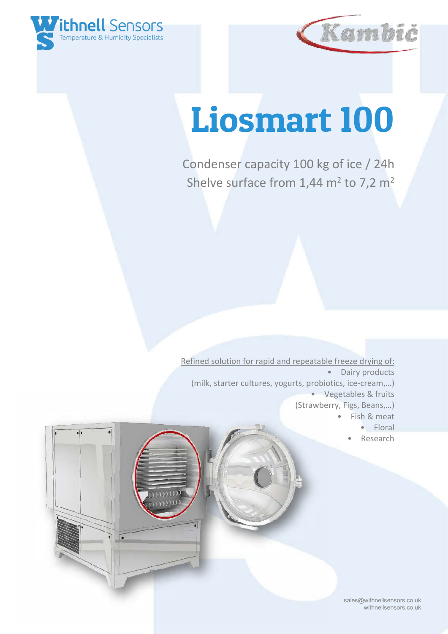



# Liosmart 100

Condenser capacity 100 kg of ice / 24h Shelve surface from  $1,44$  m<sup>2</sup> to 7,2 m<sup>2</sup>

Refined solution for rapid and repeatable freeze drying of: • Dairy products (milk, starter cultures, yogurts, probiotics, ice-cream,…) • Vegetables & fruits (Strawberry, Figs, Beans,…) Fish & meat

- Floral
- **Research**

 sales@withnellsensors.co.uk withnellsensors.co.uk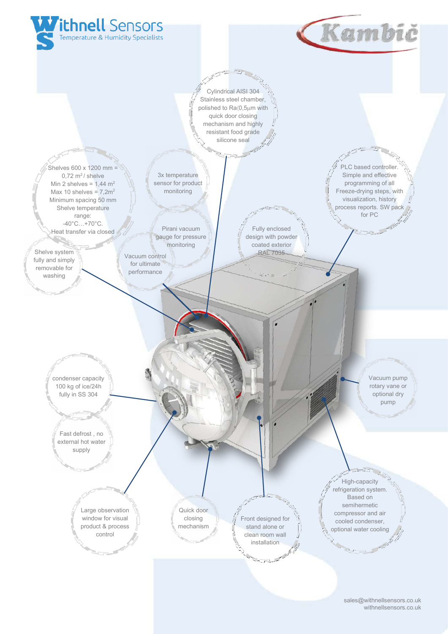

 sales@withnellsensors.co.uk withnellsensors.co.uk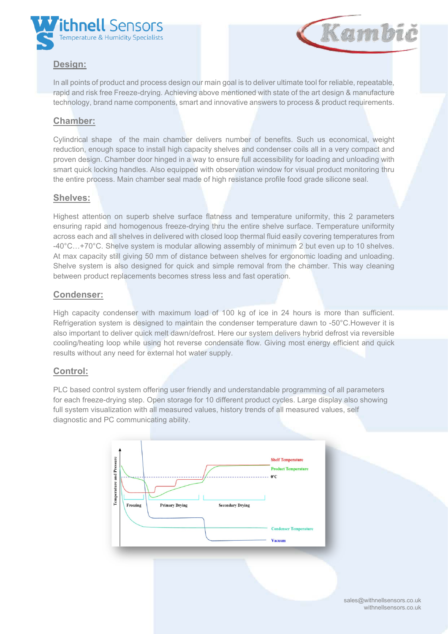



# **Design:**

In all points of product and process design our main goal is to deliver ultimate tool for reliable, repeatable, rapid and risk free Freeze-drying. Achieving above mentioned with state of the art design & manufacture technology, brand name components, smart and innovative answers to process & product requirements.

### **Chamber:**

Cylindrical shape of the main chamber delivers number of benefits. Such us economical, weight reduction, enough space to install high capacity shelves and condenser coils all in a very compact and proven design. Chamber door hinged in a way to ensure full accessibility for loading and unloading with smart quick locking handles. Also equipped with observation window for visual product monitoring thru the entire process. Main chamber seal made of high resistance profile food grade silicone seal.

#### **Shelves:**

Highest attention on superb shelve surface flatness and temperature uniformity, this 2 parameters ensuring rapid and homogenous freeze-drying thru the entire shelve surface. Temperature uniformity across each and all shelves in delivered with closed loop thermal fluid easily covering temperatures from -40°C…+70°C. Shelve system is modular allowing assembly of minimum 2 but even up to 10 shelves. At max capacity still giving 50 mm of distance between shelves for ergonomic loading and unloading. Shelve system is also designed for quick and simple removal from the chamber. This way cleaning between product replacements becomes stress less and fast operation.

#### **Condenser:**

High capacity condenser with maximum load of 100 kg of ice in 24 hours is more than sufficient. Refrigeration system is designed to maintain the condenser temperature dawn to -50°C.However it is also important to deliver quick melt dawn/defrost. Here our system delivers hybrid defrost via reversible cooling/heating loop while using hot reverse condensate flow. Giving most energy efficient and quick results without any need for external hot water supply.

#### **Control:**

PLC based control system offering user friendly and understandable programming of all parameters for each freeze-drying step. Open storage for 10 different product cycles. Large display also showing full system visualization with all measured values, history trends of all measured values, self diagnostic and PC communicating ability.



 sales@withnellsensors.co.uk withnellsensors.co.uk